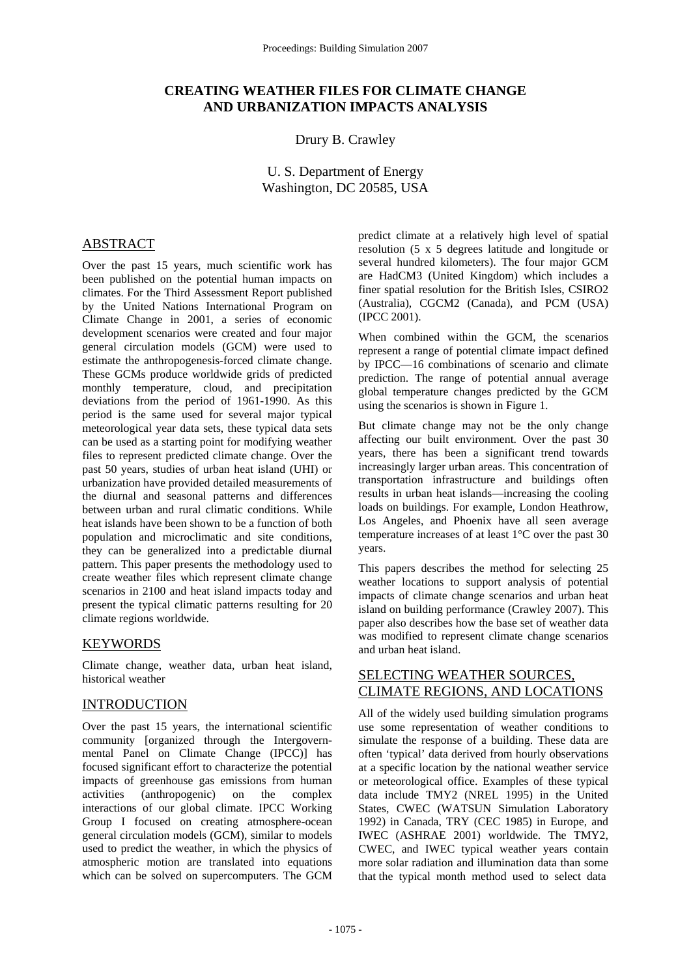# **CREATING WEATHER FILES FOR CLIMATE CHANGE AND URBANIZATION IMPACTS ANALYSIS**

# Drury B. Crawley

U. S. Department of Energy Washington, DC 20585, USA

## ABSTRACT

Over the past 15 years, much scientific work has been published on the potential human impacts on climates. For the Third Assessment Report published by the United Nations International Program on Climate Change in 2001, a series of economic development scenarios were created and four major general circulation models (GCM) were used to estimate the anthropogenesis-forced climate change. These GCMs produce worldwide grids of predicted monthly temperature, cloud, and precipitation deviations from the period of 1961-1990. As this period is the same used for several major typical meteorological year data sets, these typical data sets can be used as a starting point for modifying weather files to represent predicted climate change. Over the past 50 years, studies of urban heat island (UHI) or urbanization have provided detailed measurements of the diurnal and seasonal patterns and differences between urban and rural climatic conditions. While heat islands have been shown to be a function of both population and microclimatic and site conditions, they can be generalized into a predictable diurnal pattern. This paper presents the methodology used to create weather files which represent climate change scenarios in 2100 and heat island impacts today and present the typical climatic patterns resulting for 20 climate regions worldwide.

### KEYWORDS

Climate change, weather data, urban heat island, historical weather

### INTRODUCTION

Over the past 15 years, the international scientific community [organized through the Intergovernmental Panel on Climate Change (IPCC)] has focused significant effort to characterize the potential impacts of greenhouse gas emissions from human activities (anthropogenic) on the complex interactions of our global climate. IPCC Working Group I focused on creating atmosphere-ocean general circulation models (GCM), similar to models used to predict the weather, in which the physics of atmospheric motion are translated into equations which can be solved on supercomputers. The GCM predict climate at a relatively high level of spatial resolution (5 x 5 degrees latitude and longitude or several hundred kilometers). The four major GCM are HadCM3 (United Kingdom) which includes a finer spatial resolution for the British Isles, CSIRO2 (Australia), CGCM2 (Canada), and PCM (USA) (IPCC 2001).

When combined within the GCM, the scenarios represent a range of potential climate impact defined by IPCC—16 combinations of scenario and climate prediction. The range of potential annual average global temperature changes predicted by the GCM using the scenarios is shown in Figure 1.

But climate change may not be the only change affecting our built environment. Over the past 30 years, there has been a significant trend towards increasingly larger urban areas. This concentration of transportation infrastructure and buildings often results in urban heat islands—increasing the cooling loads on buildings. For example, London Heathrow, Los Angeles, and Phoenix have all seen average temperature increases of at least 1°C over the past 30 years.

This papers describes the method for selecting 25 weather locations to support analysis of potential impacts of climate change scenarios and urban heat island on building performance (Crawley 2007). This paper also describes how the base set of weather data was modified to represent climate change scenarios and urban heat island.

# SELECTING WEATHER SOURCES, CLIMATE REGIONS, AND LOCATIONS

All of the widely used building simulation programs use some representation of weather conditions to simulate the response of a building. These data are often 'typical' data derived from hourly observations at a specific location by the national weather service or meteorological office. Examples of these typical data include TMY2 (NREL 1995) in the United States, CWEC (WATSUN Simulation Laboratory 1992) in Canada, TRY (CEC 1985) in Europe, and IWEC (ASHRAE 2001) worldwide. The TMY2, CWEC, and IWEC typical weather years contain more solar radiation and illumination data than some that the typical month method used to select data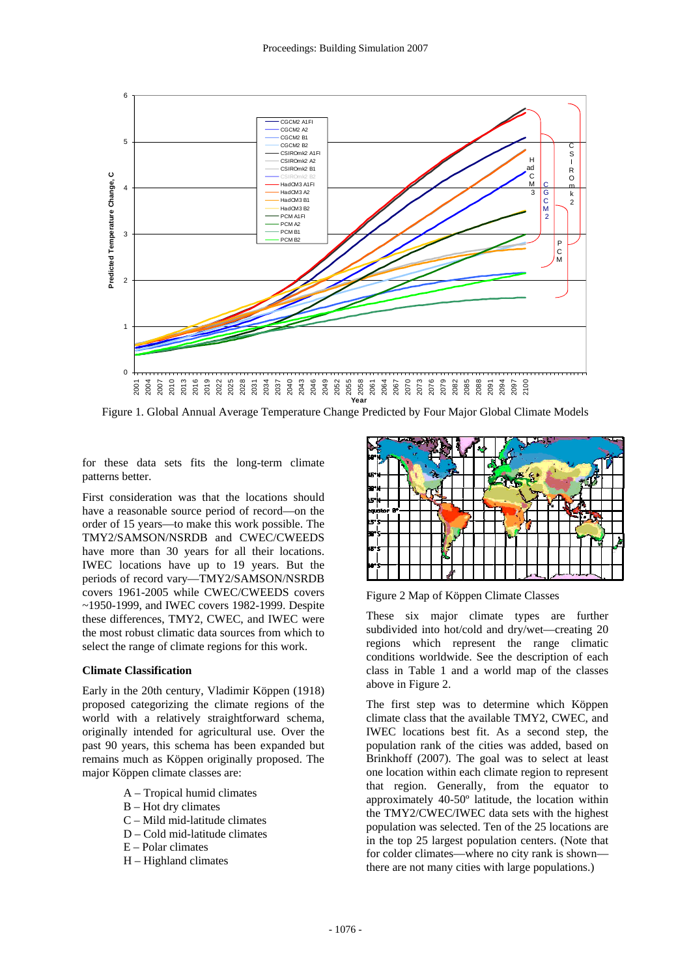

Figure 1. Global Annual Average Temperature Change Predicted by Four Major Global Climate Models

for these data sets fits the long-term climate patterns better.

First consideration was that the locations should have a reasonable source period of record—on the order of 15 years—to make this work possible. The TMY2/SAMSON/NSRDB and CWEC/CWEEDS have more than 30 years for all their locations. IWEC locations have up to 19 years. But the periods of record vary—TMY2/SAMSON/NSRDB covers 1961-2005 while CWEC/CWEEDS covers ~1950-1999, and IWEC covers 1982-1999. Despite these differences, TMY2, CWEC, and IWEC were the most robust climatic data sources from which to select the range of climate regions for this work.

#### **Climate Classification**

Early in the 20th century, Vladimir Köppen (1918) proposed categorizing the climate regions of the world with a relatively straightforward schema, originally intended for agricultural use. Over the past 90 years, this schema has been expanded but remains much as Köppen originally proposed. The major Köppen climate classes are:

- A Tropical humid climates
- B Hot dry climates
- C Mild mid-latitude climates
- D Cold mid-latitude climates
- E Polar climates
- H Highland climates



Figure 2 Map of Köppen Climate Classes

These six major climate types are further subdivided into hot/cold and dry/wet—creating 20 regions which represent the range climatic conditions worldwide. See the description of each class in Table 1 and a world map of the classes above in Figure 2.

The first step was to determine which Köppen climate class that the available TMY2, CWEC, and IWEC locations best fit. As a second step, the population rank of the cities was added, based on Brinkhoff (2007). The goal was to select at least one location within each climate region to represent that region. Generally, from the equator to approximately 40-50º latitude, the location within the TMY2/CWEC/IWEC data sets with the highest population was selected. Ten of the 25 locations are in the top 25 largest population centers. (Note that for colder climates—where no city rank is shown there are not many cities with large populations.)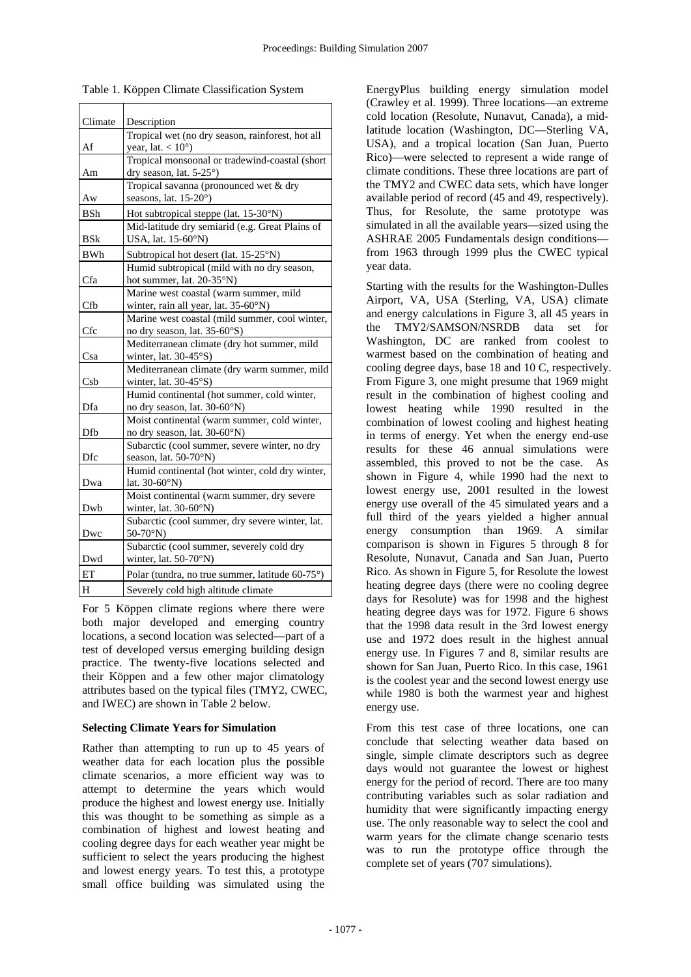| Climate    | Description                                      |
|------------|--------------------------------------------------|
|            | Tropical wet (no dry season, rainforest, hot all |
| Af         | year, lat. $< 10^{\circ}$ )                      |
|            | Tropical monsoonal or tradewind-coastal (short   |
| Am         | dry season, lat. 5-25°)                          |
|            | Tropical savanna (pronounced wet & dry           |
| Aw         | seasons, lat. 15-20°)                            |
| BSh        | Hot subtropical steppe (lat. 15-30°N)            |
|            | Mid-latitude dry semiarid (e.g. Great Plains of  |
| BSk        | USA, lat. 15-60°N)                               |
| <b>BWh</b> | Subtropical hot desert (lat. 15-25°N)            |
|            | Humid subtropical (mild with no dry season,      |
| Cfa        | hot summer, lat. 20-35°N)                        |
|            | Marine west coastal (warm summer, mild           |
| Cfb        | winter, rain all year, lat. 35-60°N)             |
|            | Marine west coastal (mild summer, cool winter,   |
| <b>Cfc</b> | no dry season, lat. 35-60°S)                     |
|            | Mediterranean climate (dry hot summer, mild      |
| Csa        | winter, lat. 30-45°S)                            |
|            | Mediterranean climate (dry warm summer, mild     |
| Csb        | winter, lat. 30-45°S)                            |
|            | Humid continental (hot summer, cold winter,      |
| Dfa        | no dry season, lat. 30-60°N)                     |
|            | Moist continental (warm summer, cold winter,     |
| Dfb        | no dry season, lat. 30-60°N)                     |
|            | Subarctic (cool summer, severe winter, no dry    |
| Dfc        | season, lat. 50-70°N)                            |
|            | Humid continental (hot winter, cold dry winter,  |
| Dwa        | lat. $30-60°N$ )                                 |
|            | Moist continental (warm summer, dry severe       |
| Dwb        | winter, lat. $30-60^\circ N$ )                   |
|            | Subarctic (cool summer, dry severe winter, lat.  |
| Dwc        | $50-70°N$                                        |
|            | Subarctic (cool summer, severely cold dry        |
| Dwd        | winter, lat. $50-70^\circ N$ )                   |
| ET         | Polar (tundra, no true summer, latitude 60-75°)  |
| H          | Severely cold high altitude climate              |

Table 1. Köppen Climate Classification System

For 5 Köppen climate regions where there were both major developed and emerging country locations, a second location was selected—part of a test of developed versus emerging building design practice. The twenty-five locations selected and their Köppen and a few other major climatology attributes based on the typical files (TMY2, CWEC, and IWEC) are shown in Table 2 below.

#### **Selecting Climate Years for Simulation**

Rather than attempting to run up to 45 years of weather data for each location plus the possible climate scenarios, a more efficient way was to attempt to determine the years which would produce the highest and lowest energy use. Initially this was thought to be something as simple as a combination of highest and lowest heating and cooling degree days for each weather year might be sufficient to select the years producing the highest and lowest energy years. To test this, a prototype small office building was simulated using the

EnergyPlus building energy simulation model (Crawley et al. 1999). Three locations—an extreme cold location (Resolute, Nunavut, Canada), a midlatitude location (Washington, DC—Sterling VA, USA), and a tropical location (San Juan, Puerto Rico)—were selected to represent a wide range of climate conditions. These three locations are part of the TMY2 and CWEC data sets, which have longer available period of record (45 and 49, respectively). Thus, for Resolute, the same prototype was simulated in all the available years—sized using the ASHRAE 2005 Fundamentals design conditions from 1963 through 1999 plus the CWEC typical year data.

Starting with the results for the Washington-Dulles Airport, VA, USA (Sterling, VA, USA) climate and energy calculations in Figure 3, all 45 years in the TMY2/SAMSON/NSRDB data set for Washington, DC are ranked from coolest to warmest based on the combination of heating and cooling degree days, base 18 and 10 C, respectively. From Figure 3, one might presume that 1969 might result in the combination of highest cooling and lowest heating while 1990 resulted in the combination of lowest cooling and highest heating in terms of energy. Yet when the energy end-use results for these 46 annual simulations were assembled, this proved to not be the case. As shown in Figure 4, while 1990 had the next to lowest energy use, 2001 resulted in the lowest energy use overall of the 45 simulated years and a full third of the years yielded a higher annual energy consumption than 1969. A similar comparison is shown in Figures 5 through 8 for Resolute, Nunavut, Canada and San Juan, Puerto Rico. As shown in Figure 5, for Resolute the lowest heating degree days (there were no cooling degree days for Resolute) was for 1998 and the highest heating degree days was for 1972. Figure 6 shows that the 1998 data result in the 3rd lowest energy use and 1972 does result in the highest annual energy use. In Figures 7 and 8, similar results are shown for San Juan, Puerto Rico. In this case, 1961 is the coolest year and the second lowest energy use while 1980 is both the warmest year and highest energy use.

From this test case of three locations, one can conclude that selecting weather data based on single, simple climate descriptors such as degree days would not guarantee the lowest or highest energy for the period of record. There are too many contributing variables such as solar radiation and humidity that were significantly impacting energy use. The only reasonable way to select the cool and warm years for the climate change scenario tests was to run the prototype office through the complete set of years (707 simulations).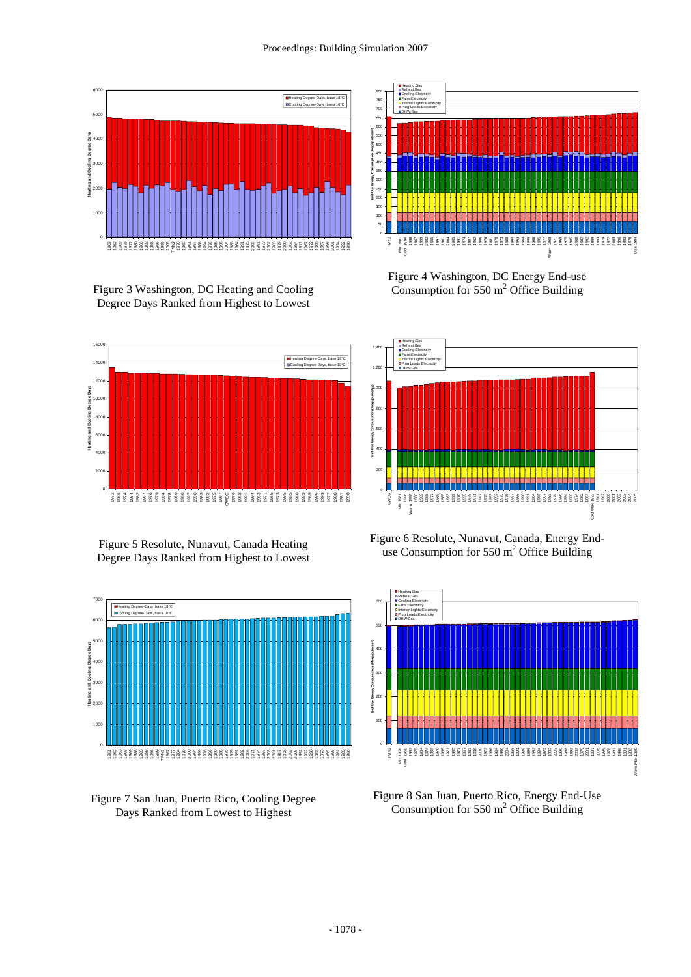#### Proceedings: Building Simulation 2007



Figure 3 Washington, DC Heating and Cooling Degree Days Ranked from Highest to Lowest



Figure 5 Resolute, Nunavut, Canada Heating Degree Days Ranked from Highest to Lowest







Figure 4 Washington, DC Energy End-use Consumption for  $550 \text{ m}^2$  Office Building



Figure 6 Resolute, Nunavut, Canada, Energy Enduse Consumption for  $550 \text{ m}^2$  Office Building



Figure 8 San Juan, Puerto Rico, Energy End-Use Consumption for  $550 \text{ m}^2$  Office Building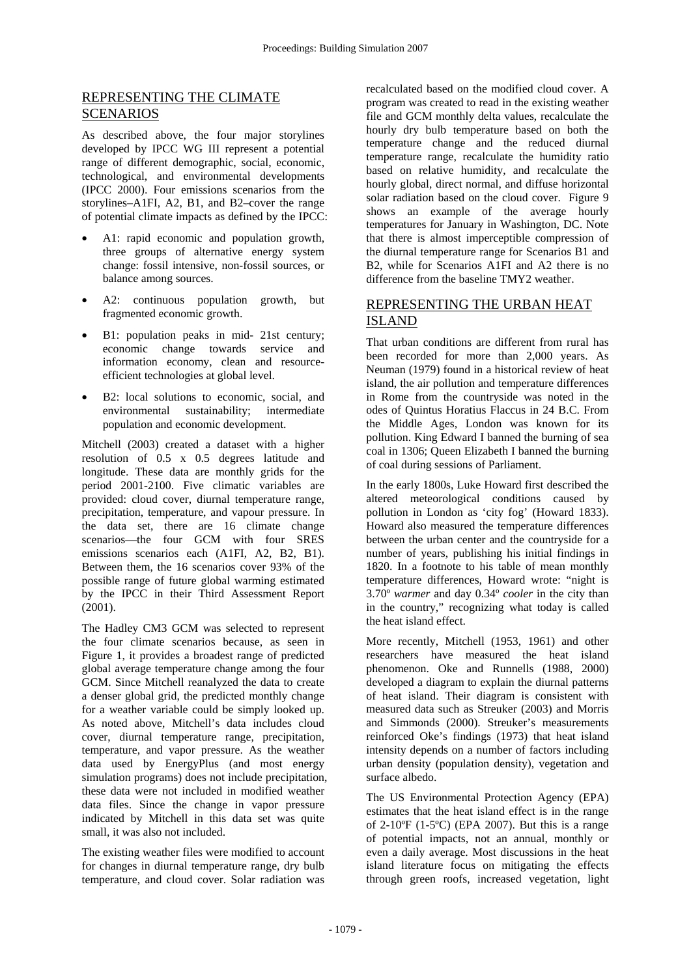# REPRESENTING THE CLIMATE SCENARIOS

As described above, the four major storylines developed by IPCC WG III represent a potential range of different demographic, social, economic, technological, and environmental developments (IPCC 2000). Four emissions scenarios from the storylines–A1FI, A2, B1, and B2–cover the range of potential climate impacts as defined by the IPCC:

- A1: rapid economic and population growth, three groups of alternative energy system change: fossil intensive, non-fossil sources, or balance among sources.
- A2: continuous population growth, but fragmented economic growth.
- B1: population peaks in mid- 21st century; economic change towards service and information economy, clean and resourceefficient technologies at global level.
- B2: local solutions to economic, social, and environmental sustainability; intermediate population and economic development.

Mitchell (2003) created a dataset with a higher resolution of 0.5 x 0.5 degrees latitude and longitude. These data are monthly grids for the period 2001-2100. Five climatic variables are provided: cloud cover, diurnal temperature range, precipitation, temperature, and vapour pressure. In the data set, there are 16 climate change scenarios—the four GCM with four SRES emissions scenarios each (A1FI, A2, B2, B1). Between them, the 16 scenarios cover 93% of the possible range of future global warming estimated by the IPCC in their Third Assessment Report (2001).

The Hadley CM3 GCM was selected to represent the four climate scenarios because, as seen in Figure 1, it provides a broadest range of predicted global average temperature change among the four GCM. Since Mitchell reanalyzed the data to create a denser global grid, the predicted monthly change for a weather variable could be simply looked up. As noted above, Mitchell's data includes cloud cover, diurnal temperature range, precipitation, temperature, and vapor pressure. As the weather data used by EnergyPlus (and most energy simulation programs) does not include precipitation, these data were not included in modified weather data files. Since the change in vapor pressure indicated by Mitchell in this data set was quite small, it was also not included.

The existing weather files were modified to account for changes in diurnal temperature range, dry bulb temperature, and cloud cover. Solar radiation was

recalculated based on the modified cloud cover. A program was created to read in the existing weather file and GCM monthly delta values, recalculate the hourly dry bulb temperature based on both the temperature change and the reduced diurnal temperature range, recalculate the humidity ratio based on relative humidity, and recalculate the hourly global, direct normal, and diffuse horizontal solar radiation based on the cloud cover. Figure 9 shows an example of the average hourly temperatures for January in Washington, DC. Note that there is almost imperceptible compression of the diurnal temperature range for Scenarios B1 and B2, while for Scenarios A1FI and A2 there is no difference from the baseline TMY2 weather.

# REPRESENTING THE URBAN HEAT ISLAND

That urban conditions are different from rural has been recorded for more than 2,000 years. As Neuman (1979) found in a historical review of heat island, the air pollution and temperature differences in Rome from the countryside was noted in the odes of Quintus Horatius Flaccus in 24 B.C. From the Middle Ages, London was known for its pollution. King Edward I banned the burning of sea coal in 1306; Queen Elizabeth I banned the burning of coal during sessions of Parliament.

In the early 1800s, Luke Howard first described the altered meteorological conditions caused by pollution in London as 'city fog' (Howard 1833). Howard also measured the temperature differences between the urban center and the countryside for a number of years, publishing his initial findings in 1820. In a footnote to his table of mean monthly temperature differences, Howard wrote: "night is 3.70º *warmer* and day 0.34º *cooler* in the city than in the country," recognizing what today is called the heat island effect.

More recently, Mitchell (1953, 1961) and other researchers have measured the heat island phenomenon. Oke and Runnells (1988, 2000) developed a diagram to explain the diurnal patterns of heat island. Their diagram is consistent with measured data such as Streuker (2003) and Morris and Simmonds (2000). Streuker's measurements reinforced Oke's findings (1973) that heat island intensity depends on a number of factors including urban density (population density), vegetation and surface albedo.

The US Environmental Protection Agency (EPA) estimates that the heat island effect is in the range of  $2-10^{\circ}F$  (1-5<sup>o</sup>C) (EPA 2007). But this is a range of potential impacts, not an annual, monthly or even a daily average. Most discussions in the heat island literature focus on mitigating the effects through green roofs, increased vegetation, light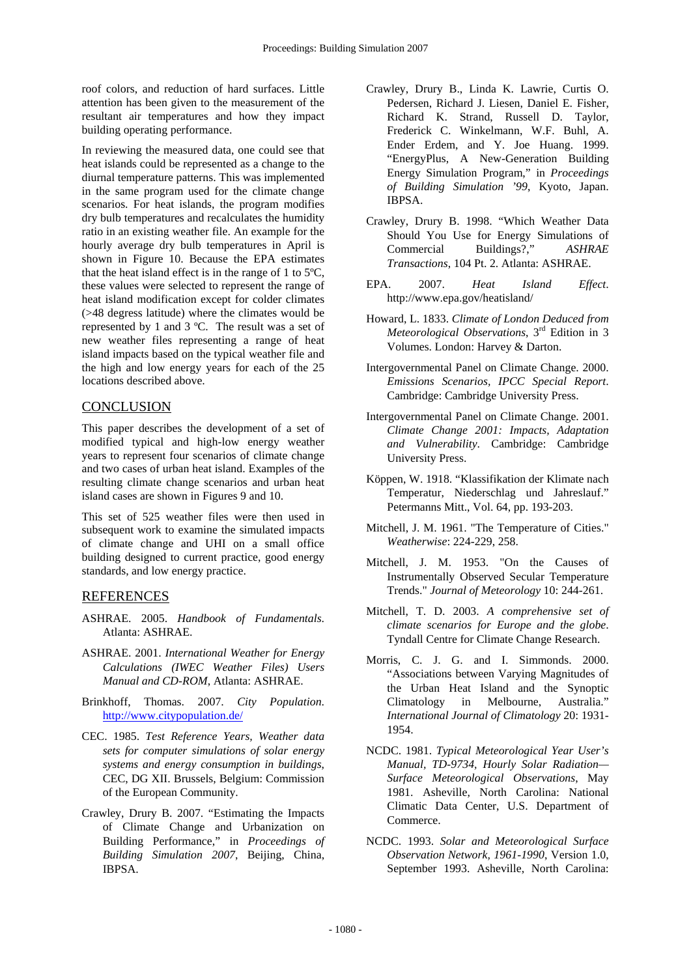roof colors, and reduction of hard surfaces. Little attention has been given to the measurement of the resultant air temperatures and how they impact building operating performance.

In reviewing the measured data, one could see that heat islands could be represented as a change to the diurnal temperature patterns. This was implemented in the same program used for the climate change scenarios. For heat islands, the program modifies dry bulb temperatures and recalculates the humidity ratio in an existing weather file. An example for the hourly average dry bulb temperatures in April is shown in Figure 10. Because the EPA estimates that the heat island effect is in the range of 1 to 5ºC, these values were selected to represent the range of heat island modification except for colder climates (>48 degress latitude) where the climates would be represented by 1 and 3 ºC. The result was a set of new weather files representing a range of heat island impacts based on the typical weather file and the high and low energy years for each of the 25 locations described above.

# **CONCLUSION**

This paper describes the development of a set of modified typical and high-low energy weather years to represent four scenarios of climate change and two cases of urban heat island. Examples of the resulting climate change scenarios and urban heat island cases are shown in Figures 9 and 10.

This set of 525 weather files were then used in subsequent work to examine the simulated impacts of climate change and UHI on a small office building designed to current practice, good energy standards, and low energy practice.

### REFERENCES

- ASHRAE. 2005. *Handbook of Fundamentals*. Atlanta: ASHRAE.
- ASHRAE. 2001. *International Weather for Energy Calculations (IWEC Weather Files) Users Manual and CD-ROM*, Atlanta: ASHRAE.
- Brinkhoff, Thomas. 2007. *City Population*. http://www.citypopulation.de/
- CEC. 1985. *Test Reference Years, Weather data sets for computer simulations of solar energy systems and energy consumption in buildings*, CEC, DG XII. Brussels, Belgium: Commission of the European Community.
- Crawley, Drury B. 2007. "Estimating the Impacts of Climate Change and Urbanization on Building Performance," in *Proceedings of Building Simulation 2007*, Beijing, China, IBPSA.
- Crawley, Drury B., Linda K. Lawrie, Curtis O. Pedersen, Richard J. Liesen, Daniel E. Fisher, Richard K. Strand, Russell D. Taylor, Frederick C. Winkelmann, W.F. Buhl, A. Ender Erdem, and Y. Joe Huang. 1999. "EnergyPlus, A New-Generation Building Energy Simulation Program," in *Proceedings of Building Simulation '99*, Kyoto, Japan. IBPSA.
- Crawley, Drury B. 1998. "Which Weather Data Should You Use for Energy Simulations of Commercial Buildings?," *ASHRAE Transactions*, 104 Pt. 2. Atlanta: ASHRAE.
- EPA. 2007. *Heat Island Effect*. http://www.epa.gov/heatisland/
- Howard, L. 1833. *Climate of London Deduced from Meteorological Observations*, 3rd Edition in 3 Volumes. London: Harvey & Darton.
- Intergovernmental Panel on Climate Change. 2000. *Emissions Scenarios, IPCC Special Report*. Cambridge: Cambridge University Press.
- Intergovernmental Panel on Climate Change. 2001. *Climate Change 2001: Impacts, Adaptation and Vulnerability*. Cambridge: Cambridge University Press.
- Köppen, W. 1918. "Klassifikation der Klimate nach Temperatur, Niederschlag und Jahreslauf." Petermanns Mitt., Vol. 64, pp. 193-203.
- Mitchell, J. M. 1961. "The Temperature of Cities." *Weatherwise*: 224-229, 258.
- Mitchell, J. M. 1953. "On the Causes of Instrumentally Observed Secular Temperature Trends." *Journal of Meteorology* 10: 244-261.
- Mitchell, T. D. 2003. *A comprehensive set of climate scenarios for Europe and the globe*. Tyndall Centre for Climate Change Research.
- Morris, C. J. G. and I. Simmonds. 2000. "Associations between Varying Magnitudes of the Urban Heat Island and the Synoptic Climatology in Melbourne, Australia." *International Journal of Climatology* 20: 1931- 1954.
- NCDC. 1981. *Typical Meteorological Year User's Manual, TD-9734, Hourly Solar Radiation— Surface Meteorological Observations*, May 1981. Asheville, North Carolina: National Climatic Data Center, U.S. Department of Commerce.
- NCDC. 1993. *Solar and Meteorological Surface Observation Network, 1961-1990*, Version 1.0, September 1993. Asheville, North Carolina: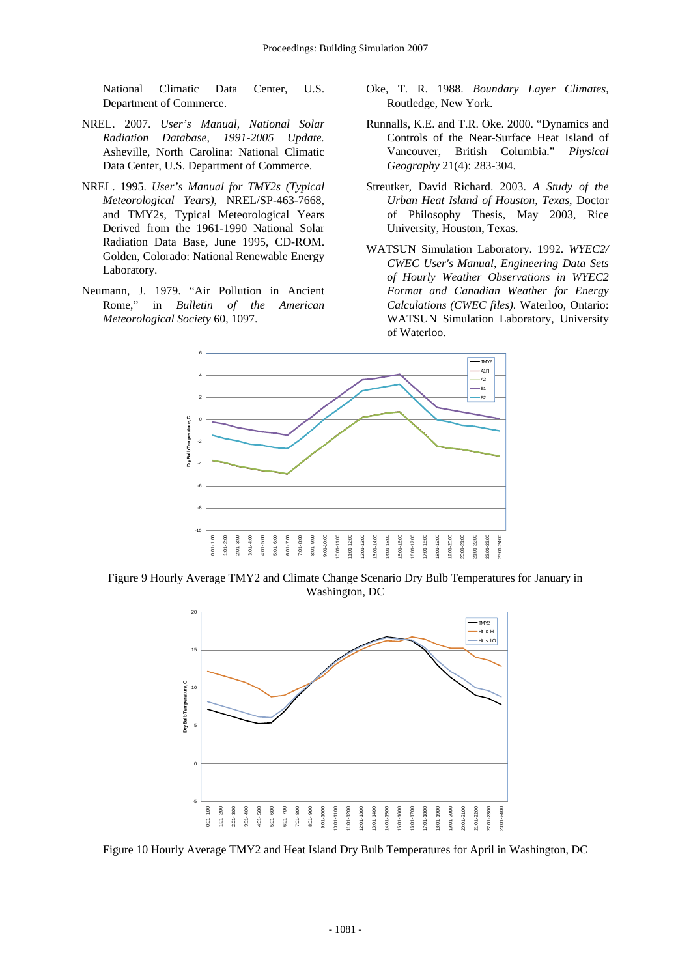National Climatic Data Center, U.S. Department of Commerce.

- NREL. 2007. *User's Manual, National Solar Radiation Database, 1991-2005 Update.* Asheville, North Carolina: National Climatic Data Center, U.S. Department of Commerce.
- NREL. 1995. *User's Manual for TMY2s (Typical Meteorological Years)*, NREL/SP-463-7668, and TMY2s, Typical Meteorological Years Derived from the 1961-1990 National Solar Radiation Data Base, June 1995, CD-ROM. Golden, Colorado: National Renewable Energy Laboratory.
- Neumann, J. 1979. "Air Pollution in Ancient Rome," in *Bulletin of the American Meteorological Society* 60, 1097.
- Oke, T. R. 1988. *Boundary Layer Climates*, Routledge, New York.
- Runnalls, K.E. and T.R. Oke. 2000. "Dynamics and Controls of the Near-Surface Heat Island of Vancouver, British Columbia." *Physical Geography* 21(4): 283-304.
- Streutker, David Richard. 2003. *A Study of the Urban Heat Island of Houston, Texas*, Doctor of Philosophy Thesis, May 2003, Rice University, Houston, Texas.
- WATSUN Simulation Laboratory. 1992. *WYEC2/ CWEC User's Manual, Engineering Data Sets of Hourly Weather Observations in WYEC2 Format and Canadian Weather for Energy Calculations (CWEC files)*. Waterloo, Ontario: WATSUN Simulation Laboratory, University of Waterloo.



Figure 9 Hourly Average TMY2 and Climate Change Scenario Dry Bulb Temperatures for January in Washington, DC



Figure 10 Hourly Average TMY2 and Heat Island Dry Bulb Temperatures for April in Washington, DC